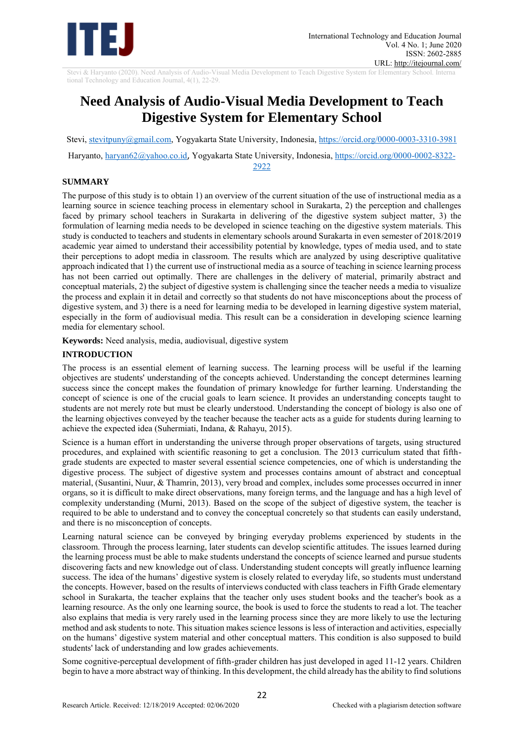

Stevi & Haryanto (2020). Need Analysis of Audio-Visual Media Development to Teach Digestive System for Elementary School. Interna tional Technology and Education Journal, 4(1), 22-29.

# **Need Analysis of Audio-Visual Media Development to Teach Digestive System for Elementary School**

Stevi, [stevitpuny@gmail.com,](mailto:stevitpuny@gmail.com) Yogyakarta State University, Indonesia, https://orcid.org/0000-0003-3310-3981

Haryanto, haryan62@yahoo.co.id, Yogyakarta State University, Indonesia, https://orcid.org/0000-0002-8322-

2922

# **SUMMARY**

The purpose of this study is to obtain 1) an overview of the current situation of the use of instructional media as a learning source in science teaching process in elementary school in Surakarta, 2) the perception and challenges faced by primary school teachers in Surakarta in delivering of the digestive system subject matter, 3) the formulation of learning media needs to be developed in science teaching on the digestive system materials. This study is conducted to teachers and students in elementary schools around Surakarta in even semester of 2018/2019 academic year aimed to understand their accessibility potential by knowledge, types of media used, and to state their perceptions to adopt media in classroom. The results which are analyzed by using descriptive qualitative approach indicated that 1) the current use of instructional media as a source of teaching in science learning process has not been carried out optimally. There are challenges in the delivery of material, primarily abstract and conceptual materials, 2) the subject of digestive system is challenging since the teacher needs a media to visualize the process and explain it in detail and correctly so that students do not have misconceptions about the process of digestive system, and 3) there is a need for learning media to be developed in learning digestive system material, especially in the form of audiovisual media. This result can be a consideration in developing science learning media for elementary school.

**Keywords:** Need analysis, media, audiovisual, digestive system

# **INTRODUCTION**

The process is an essential element of learning success. The learning process will be useful if the learning objectives are students' understanding of the concepts achieved. Understanding the concept determines learning success since the concept makes the foundation of primary knowledge for further learning. Understanding the concept of science is one of the crucial goals to learn science. It provides an understanding concepts taught to students are not merely rote but must be clearly understood. Understanding the concept of biology is also one of the learning objectives conveyed by the teacher because the teacher acts as a guide for students during learning to achieve the expected idea (Suhermiati, Indana, & Rahayu, 2015).

Science is a human effort in understanding the universe through proper observations of targets, using structured procedures, and explained with scientific reasoning to get a conclusion. The 2013 curriculum stated that fifthgrade students are expected to master several essential science competencies, one of which is understanding the digestive process. The subject of digestive system and processes contains amount of abstract and conceptual material, (Susantini, Nuur, & Thamrin, 2013), very broad and complex, includes some processes occurred in inner organs, so it is difficult to make direct observations, many foreign terms, and the language and has a high level of complexity understanding (Murni, 2013). Based on the scope of the subject of digestive system, the teacher is required to be able to understand and to convey the conceptual concretely so that students can easily understand, and there is no misconception of concepts.

Learning natural science can be conveyed by bringing everyday problems experienced by students in the classroom. Through the process learning, later students can develop scientific attitudes. The issues learned during the learning process must be able to make students understand the concepts of science learned and pursue students discovering facts and new knowledge out of class. Understanding student concepts will greatly influence learning success. The idea of the humans' digestive system is closely related to everyday life, so students must understand the concepts. However, based on the results of interviews conducted with class teachers in Fifth Grade elementary school in Surakarta, the teacher explains that the teacher only uses student books and the teacher's book as a learning resource. As the only one learning source, the book is used to force the students to read a lot. The teacher also explains that media is very rarely used in the learning process since they are more likely to use the lecturing method and ask students to note. This situation makes science lessons is less of interaction and activities, especially on the humans' digestive system material and other conceptual matters. This condition is also supposed to build students' lack of understanding and low grades achievements.

Some cognitive-perceptual development of fifth-grader children has just developed in aged 11-12 years. Children begin to have a more abstract way of thinking. In this development, the child already has the ability to find solutions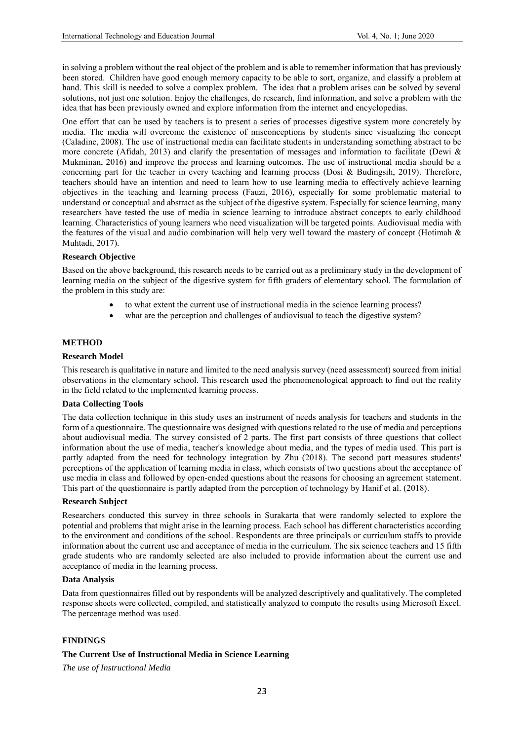in solving a problem without the real object of the problem and is able to remember information that has previously been stored. Children have good enough memory capacity to be able to sort, organize, and classify a problem at hand. This skill is needed to solve a complex problem. The idea that a problem arises can be solved by several solutions, not just one solution. Enjoy the challenges, do research, find information, and solve a problem with the idea that has been previously owned and explore information from the internet and encyclopedias.

One effort that can be used by teachers is to present a series of processes digestive system more concretely by media. The media will overcome the existence of misconceptions by students since visualizing the concept (Caladine, 2008). The use of instructional media can facilitate students in understanding something abstract to be more concrete (Afidah, 2013) and clarify the presentation of messages and information to facilitate (Dewi & Mukminan, 2016) and improve the process and learning outcomes. The use of instructional media should be a concerning part for the teacher in every teaching and learning process (Dosi & Budingsih, 2019). Therefore, teachers should have an intention and need to learn how to use learning media to effectively achieve learning objectives in the teaching and learning process (Fauzi, 2016), especially for some problematic material to understand or conceptual and abstract as the subject of the digestive system. Especially for science learning, many researchers have tested the use of media in science learning to introduce abstract concepts to early childhood learning. Characteristics of young learners who need visualization will be targeted points. Audiovisual media with the features of the visual and audio combination will help very well toward the mastery of concept (Hotimah & Muhtadi, 2017).

### **Research Objective**

Based on the above background, this research needs to be carried out as a preliminary study in the development of learning media on the subject of the digestive system for fifth graders of elementary school. The formulation of the problem in this study are:

- to what extent the current use of instructional media in the science learning process?
- what are the perception and challenges of audiovisual to teach the digestive system?

#### **METHOD**

#### **Research Model**

This research is qualitative in nature and limited to the need analysis survey (need assessment) sourced from initial observations in the elementary school. This research used the phenomenological approach to find out the reality in the field related to the implemented learning process.

#### **Data Collecting Tools**

The data collection technique in this study uses an instrument of needs analysis for teachers and students in the form of a questionnaire. The questionnaire was designed with questions related to the use of media and perceptions about audiovisual media. The survey consisted of 2 parts. The first part consists of three questions that collect information about the use of media, teacher's knowledge about media, and the types of media used. This part is partly adapted from the need for technology integration by Zhu (2018). The second part measures students' perceptions of the application of learning media in class, which consists of two questions about the acceptance of use media in class and followed by open-ended questions about the reasons for choosing an agreement statement. This part of the questionnaire is partly adapted from the perception of technology by Hanif et al. (2018).

#### **Research Subject**

Researchers conducted this survey in three schools in Surakarta that were randomly selected to explore the potential and problems that might arise in the learning process. Each school has different characteristics according to the environment and conditions of the school. Respondents are three principals or curriculum staffs to provide information about the current use and acceptance of media in the curriculum. The six science teachers and 15 fifth grade students who are randomly selected are also included to provide information about the current use and acceptance of media in the learning process.

#### **Data Analysis**

Data from questionnaires filled out by respondents will be analyzed descriptively and qualitatively. The completed response sheets were collected, compiled, and statistically analyzed to compute the results using Microsoft Excel. The percentage method was used.

#### **FINDINGS**

#### **The Current Use of Instructional Media in Science Learning**

*The use of Instructional Media*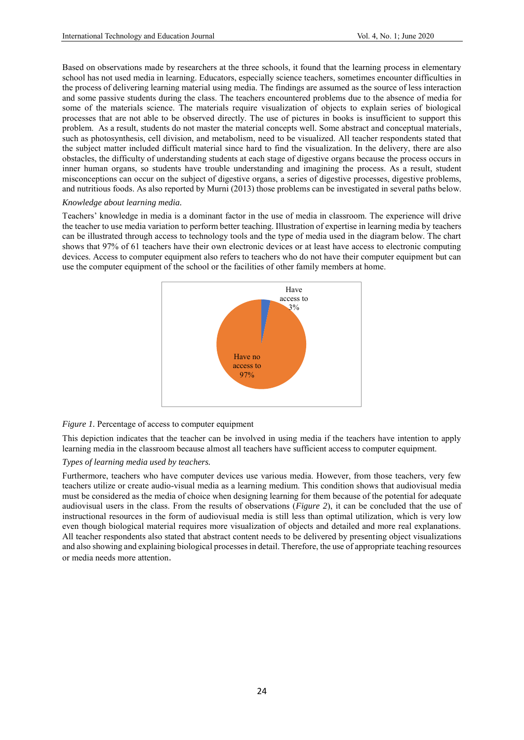Based on observations made by researchers at the three schools, it found that the learning process in elementary school has not used media in learning. Educators, especially science teachers, sometimes encounter difficulties in the process of delivering learning material using media. The findings are assumed as the source of less interaction and some passive students during the class. The teachers encountered problems due to the absence of media for some of the materials science. The materials require visualization of objects to explain series of biological processes that are not able to be observed directly. The use of pictures in books is insufficient to support this problem. As a result, students do not master the material concepts well. Some abstract and conceptual materials, such as photosynthesis, cell division, and metabolism, need to be visualized. All teacher respondents stated that the subject matter included difficult material since hard to find the visualization. In the delivery, there are also obstacles, the difficulty of understanding students at each stage of digestive organs because the process occurs in inner human organs, so students have trouble understanding and imagining the process. As a result, student misconceptions can occur on the subject of digestive organs, a series of digestive processes, digestive problems, and nutritious foods. As also reported by Murni (2013) those problems can be investigated in several paths below.

#### *Knowledge about learning media.*

Teachers' knowledge in media is a dominant factor in the use of media in classroom. The experience will drive the teacher to use media variation to perform better teaching. Illustration of expertise in learning media by teachers can be illustrated through access to technology tools and the type of media used in the diagram below. The chart shows that 97% of 61 teachers have their own electronic devices or at least have access to electronic computing devices. Access to computer equipment also refers to teachers who do not have their computer equipment but can use the computer equipment of the school or the facilities of other family members at home.



*Figure 1.* Percentage of access to computer equipment

This depiction indicates that the teacher can be involved in using media if the teachers have intention to apply learning media in the classroom because almost all teachers have sufficient access to computer equipment.

#### *Types of learning media used by teachers.*

Furthermore, teachers who have computer devices use various media. However, from those teachers, very few teachers utilize or create audio-visual media as a learning medium. This condition shows that audiovisual media must be considered as the media of choice when designing learning for them because of the potential for adequate audiovisual users in the class. From the results of observations (*Figure 2*), it can be concluded that the use of instructional resources in the form of audiovisual media is still less than optimal utilization, which is very low even though biological material requires more visualization of objects and detailed and more real explanations. All teacher respondents also stated that abstract content needs to be delivered by presenting object visualizations and also showing and explaining biological processes in detail. Therefore, the use of appropriate teaching resources or media needs more attention.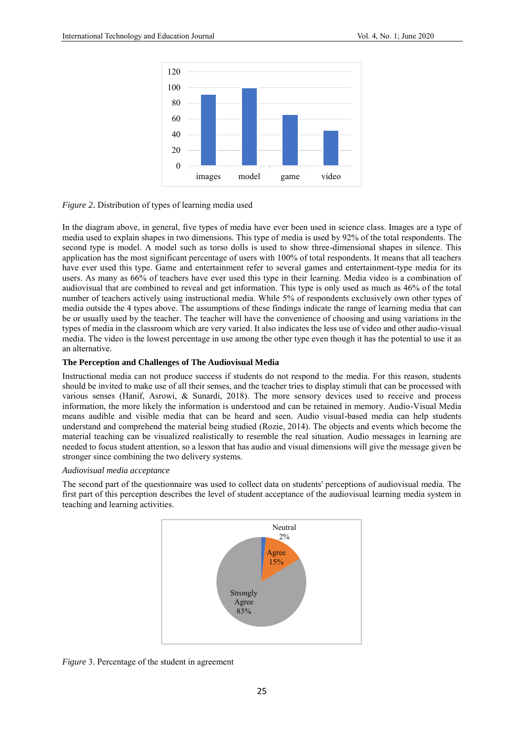

#### *Figure 2*. Distribution of types of learning media used

In the diagram above, in general, five types of media have ever been used in science class. Images are a type of media used to explain shapes in two dimensions. This type of media is used by 92% of the total respondents. The second type is model. A model such as torso dolls is used to show three-dimensional shapes in silence. This application has the most significant percentage of users with 100% of total respondents. It means that all teachers have ever used this type. Game and entertainment refer to several games and entertainment-type media for its users. As many as 66% of teachers have ever used this type in their learning. Media video is a combination of audiovisual that are combined to reveal and get information. This type is only used as much as 46% of the total number of teachers actively using instructional media. While 5% of respondents exclusively own other types of media outside the 4 types above. The assumptions of these findings indicate the range of learning media that can be or usually used by the teacher. The teacher will have the convenience of choosing and using variations in the types of media in the classroom which are very varied. It also indicates the less use of video and other audio-visual media. The video is the lowest percentage in use among the other type even though it has the potential to use it as an alternative.

#### **The Perception and Challenges of The Audiovisual Media**

Instructional media can not produce success if students do not respond to the media. For this reason, students should be invited to make use of all their senses, and the teacher tries to display stimuli that can be processed with various senses (Hanif, Asrowi, & Sunardi, 2018). The more sensory devices used to receive and process information, the more likely the information is understood and can be retained in memory. Audio-Visual Media means audible and visible media that can be heard and seen. Audio visual-based media can help students understand and comprehend the material being studied (Rozie, 2014). The objects and events which become the material teaching can be visualized realistically to resemble the real situation. Audio messages in learning are needed to focus student attention, so a lesson that has audio and visual dimensions will give the message given be stronger since combining the two delivery systems.

#### *Audiovisual media acceptance*

The second part of the questionnaire was used to collect data on students' perceptions of audiovisual media. The first part of this perception describes the level of student acceptance of the audiovisual learning media system in teaching and learning activities.



*Figure* 3. Percentage of the student in agreement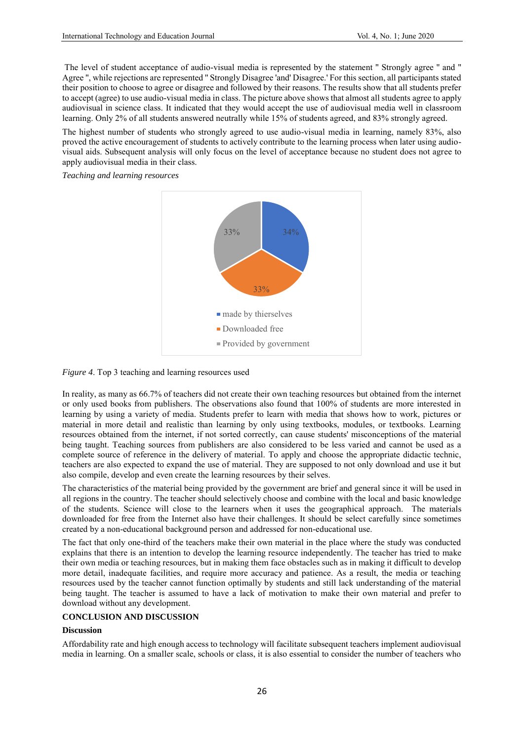The level of student acceptance of audio-visual media is represented by the statement '' Strongly agree '' and '' Agree '', while rejections are represented '' Strongly Disagree 'and' Disagree.' For this section, all participants stated their position to choose to agree or disagree and followed by their reasons. The results show that all students prefer to accept (agree) to use audio-visual media in class. The picture above shows that almost all students agree to apply audiovisual in science class. It indicated that they would accept the use of audiovisual media well in classroom learning. Only 2% of all students answered neutrally while 15% of students agreed, and 83% strongly agreed.

The highest number of students who strongly agreed to use audio-visual media in learning, namely 83%, also proved the active encouragement of students to actively contribute to the learning process when later using audiovisual aids. Subsequent analysis will only focus on the level of acceptance because no student does not agree to apply audiovisual media in their class.

*Teaching and learning resources* 



*Figure 4*. Top 3 teaching and learning resources used

In reality, as many as 66.7% of teachers did not create their own teaching resources but obtained from the internet or only used books from publishers. The observations also found that 100% of students are more interested in learning by using a variety of media. Students prefer to learn with media that shows how to work, pictures or material in more detail and realistic than learning by only using textbooks, modules, or textbooks. Learning resources obtained from the internet, if not sorted correctly, can cause students' misconceptions of the material being taught. Teaching sources from publishers are also considered to be less varied and cannot be used as a complete source of reference in the delivery of material. To apply and choose the appropriate didactic technic, teachers are also expected to expand the use of material. They are supposed to not only download and use it but also compile, develop and even create the learning resources by their selves.

The characteristics of the material being provided by the government are brief and general since it will be used in all regions in the country. The teacher should selectively choose and combine with the local and basic knowledge of the students. Science will close to the learners when it uses the geographical approach. The materials downloaded for free from the Internet also have their challenges. It should be select carefully since sometimes created by a non-educational background person and addressed for non-educational use.

The fact that only one-third of the teachers make their own material in the place where the study was conducted explains that there is an intention to develop the learning resource independently. The teacher has tried to make their own media or teaching resources, but in making them face obstacles such as in making it difficult to develop more detail, inadequate facilities, and require more accuracy and patience. As a result, the media or teaching resources used by the teacher cannot function optimally by students and still lack understanding of the material being taught. The teacher is assumed to have a lack of motivation to make their own material and prefer to download without any development.

## **CONCLUSION AND DISCUSSION**

# **Discussion**

Affordability rate and high enough access to technology will facilitate subsequent teachers implement audiovisual media in learning. On a smaller scale, schools or class, it is also essential to consider the number of teachers who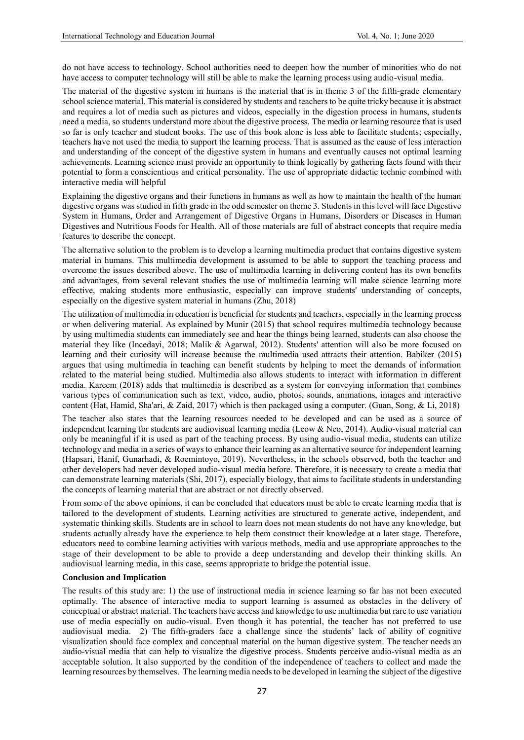do not have access to technology. School authorities need to deepen how the number of minorities who do not have access to computer technology will still be able to make the learning process using audio-visual media.

The material of the digestive system in humans is the material that is in theme 3 of the fifth-grade elementary school science material. This material is considered by students and teachers to be quite tricky because it is abstract and requires a lot of media such as pictures and videos, especially in the digestion process in humans, students need a media, so students understand more about the digestive process. The media or learning resource that is used so far is only teacher and student books. The use of this book alone is less able to facilitate students; especially, teachers have not used the media to support the learning process. That is assumed as the cause of less interaction and understanding of the concept of the digestive system in humans and eventually causes not optimal learning achievements. Learning science must provide an opportunity to think logically by gathering facts found with their potential to form a conscientious and critical personality. The use of appropriate didactic technic combined with interactive media will helpful

Explaining the digestive organs and their functions in humans as well as how to maintain the health of the human digestive organs was studied in fifth grade in the odd semester on theme 3. Students in this level will face Digestive System in Humans, Order and Arrangement of Digestive Organs in Humans, Disorders or Diseases in Human Digestives and Nutritious Foods for Health. All of those materials are full of abstract concepts that require media features to describe the concept.

The alternative solution to the problem is to develop a learning multimedia product that contains digestive system material in humans. This multimedia development is assumed to be able to support the teaching process and overcome the issues described above. The use of multimedia learning in delivering content has its own benefits and advantages, from several relevant studies the use of multimedia learning will make science learning more effective, making students more enthusiastic, especially can improve students' understanding of concepts, especially on the digestive system material in humans (Zhu, 2018)

The utilization of multimedia in education is beneficial for students and teachers, especially in the learning process or when delivering material. As explained by Munir (2015) that school requires multimedia technology because by using multimedia students can immediately see and hear the things being learned, students can also choose the material they like (Incedayi, 2018; Malik & Agarwal, 2012). Students' attention will also be more focused on learning and their curiosity will increase because the multimedia used attracts their attention. Babiker (2015) argues that using multimedia in teaching can benefit students by helping to meet the demands of information related to the material being studied. Multimedia also allows students to interact with information in different media. Kareem (2018) adds that multimedia is described as a system for conveying information that combines various types of communication such as text, video, audio, photos, sounds, animations, images and interactive content (Hat, Hamid, Sha'ari, & Zaid, 2017) which is then packaged using a computer. (Guan, Song, & Li, 2018)

The teacher also states that the learning resources needed to be developed and can be used as a source of independent learning for students are audiovisual learning media (Leow & Neo, 2014). Audio-visual material can only be meaningful if it is used as part of the teaching process. By using audio-visual media, students can utilize technology and media in a series of ways to enhance their learning as an alternative source for independent learning (Hapsari, Hanif, Gunarhadi, & Roemintoyo, 2019). Nevertheless, in the schools observed, both the teacher and other developers had never developed audio-visual media before. Therefore, it is necessary to create a media that can demonstrate learning materials (Shi, 2017), especially biology, that aims to facilitate students in understanding the concepts of learning material that are abstract or not directly observed.

From some of the above opinions, it can be concluded that educators must be able to create learning media that is tailored to the development of students. Learning activities are structured to generate active, independent, and systematic thinking skills. Students are in school to learn does not mean students do not have any knowledge, but students actually already have the experience to help them construct their knowledge at a later stage. Therefore, educators need to combine learning activities with various methods, media and use appropriate approaches to the stage of their development to be able to provide a deep understanding and develop their thinking skills. An audiovisual learning media, in this case, seems appropriate to bridge the potential issue.

## **Conclusion and Implication**

The results of this study are: 1) the use of instructional media in science learning so far has not been executed optimally. The absence of interactive media to support learning is assumed as obstacles in the delivery of conceptual or abstract material. The teachers have access and knowledge to use multimedia but rare to use variation use of media especially on audio-visual. Even though it has potential, the teacher has not preferred to use audiovisual media. 2) The fifth-graders face a challenge since the students' lack of ability of cognitive visualization should face complex and conceptual material on the human digestive system. The teacher needs an audio-visual media that can help to visualize the digestive process. Students perceive audio-visual media as an acceptable solution. It also supported by the condition of the independence of teachers to collect and made the learning resources by themselves. The learning media needs to be developed in learning the subject of the digestive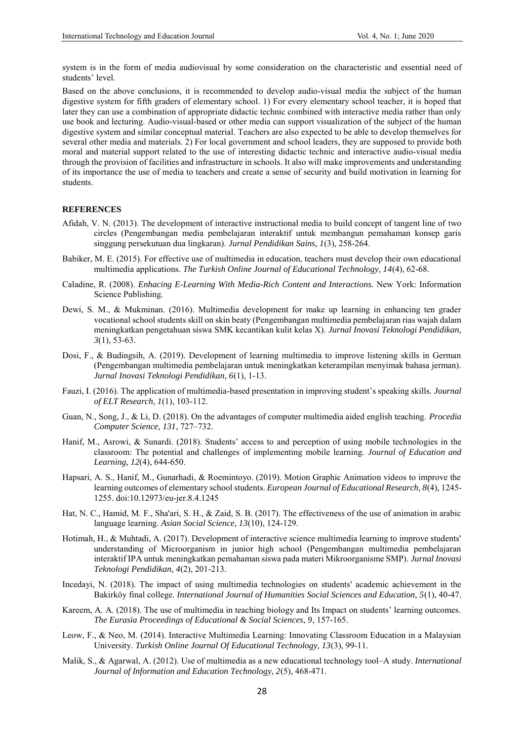system is in the form of media audiovisual by some consideration on the characteristic and essential need of students' level.

Based on the above conclusions, it is recommended to develop audio-visual media the subject of the human digestive system for fifth graders of elementary school. 1) For every elementary school teacher, it is hoped that later they can use a combination of appropriate didactic technic combined with interactive media rather than only use book and lecturing. Audio-visual-based or other media can support visualization of the subject of the human digestive system and similar conceptual material. Teachers are also expected to be able to develop themselves for several other media and materials. 2) For local government and school leaders, they are supposed to provide both moral and material support related to the use of interesting didactic technic and interactive audio-visual media through the provision of facilities and infrastructure in schools. It also will make improvements and understanding of its importance the use of media to teachers and create a sense of security and build motivation in learning for students.

#### **REFERENCES**

- Afidah, V. N. (2013). The development of interactive instructional media to build concept of tangent line of two circles (Pengembangan media pembelajaran interaktif untuk membangun pemahaman konsep garis singgung persekutuan dua lingkaran). *Jurnal Pendidikan Sains, 1*(3), 258-264.
- Babiker, M. E. (2015). For effective use of multimedia in education, teachers must develop their own educational multimedia applications. *The Turkish Online Journal of Educational Technology, 14*(4), 62-68.
- Caladine, R. (2008). *Enhacing E-Learning With Media-Rich Content and Interactions.* New York: Information Science Publishing.
- Dewi, S. M., & Mukminan. (2016). Multimedia development for make up learning in enhancing ten grader vocational school students skill on skin beaty (Pengembangan multimedia pembelajaran rias wajah dalam meningkatkan pengetahuan siswa SMK kecantikan kulit kelas X). *Jurnal Inovasi Teknologi Pendidikan, 3*(1), 53-63.
- Dosi, F., & Budingsih, A. (2019). Development of learning multimedia to improve listening skills in German (Pengembangan multimedia pembelajaran untuk meningkatkan keterampilan menyimak bahasa jerman). *Jurnal Inovasi Teknologi Pendidikan, 6*(1), 1-13.
- Fauzi, I. (2016). The application of multimedia-based presentation in improving student's speaking skills. *Journal of ELT Research, 1*(1), 103-112.
- Guan, N., Song, J., & Li, D. (2018). On the advantages of computer multimedia aided english teaching. *Procedia Computer Science, 131*, 727–732.
- Hanif, M., Asrowi, & Sunardi. (2018). Students' access to and perception of using mobile technologies in the classroom: The potential and challenges of implementing mobile learning. *Journal of Education and Learning, 12*(4), 644-650.
- Hapsari, A. S., Hanif, M., Gunarhadi, & Roemintoyo. (2019). Motion Graphic Animation videos to improve the learning outcomes of elementary school students. *European Journal of Educational Research, 8*(4), 1245- 1255. doi:10.12973/eu-jer.8.4.1245
- Hat, N. C., Hamid, M. F., Sha'ari, S. H., & Zaid, S. B. (2017). The effectiveness of the use of animation in arabic language learning. *Asian Social Science, 13*(10), 124-129.
- Hotimah, H., & Muhtadi, A. (2017). Development of interactive science multimedia learning to improve students' understanding of Microorganism in junior high school (Pengembangan multimedia pembelajaran interaktif IPA untuk meningkatkan pemahaman siswa pada materi Mikroorganisme SMP). *Jurnal Inovasi Teknologi Pendidikan, 4*(2), 201-213.
- Incedayi, N. (2018). The impact of using multimedia technologies on students' academic achievement in the Bakirköy final college. *International Journal of Humanities Social Sciences and Education, 5*(1), 40-47.
- Kareem, A. A. (2018). The use of multimedia in teaching biology and Its Impact on students' learning outcomes. *The Eurasia Proceedings of Educational & Social Sciences, 9*, 157-165.
- Leow, F., & Neo, M. (2014). Interactive Multimedia Learning: Innovating Classroom Education in a Malaysian University. *Turkish Online Journal Of Educational Technology, 13*(3), 99-11.
- Malik, S., & Agarwal, A. (2012). Use of multimedia as a new educational technology tool–A study. *International Journal of Information and Education Technology, 2*(5), 468-471.